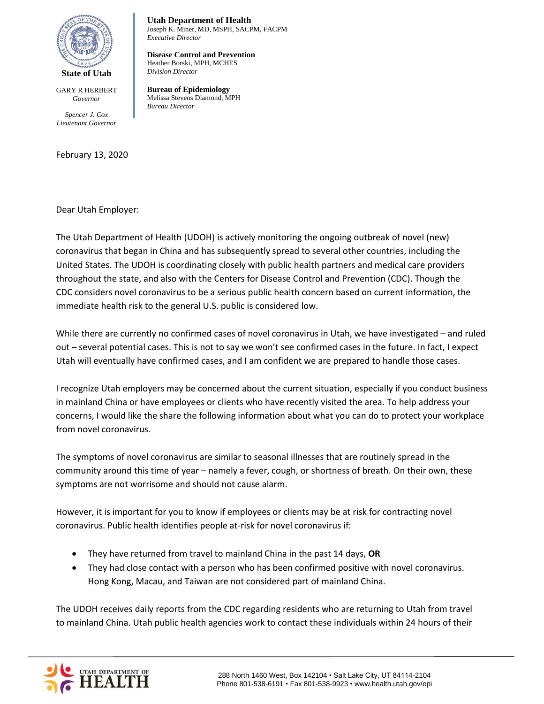

GARY R HERBERT *Governor*

*Spencer J. Cox Lieutenant Governor*

February 13, 2020

**Utah Department of Health**  Joseph K. Miner, MD, MSPH, SACPM, FACPM *Executive Director* 

**Disease Control and Prevention**  Heather Borski, MPH, MCHES *Division Director* 

**Bureau of Epidemiology** Melissa Stevens Diamond, MPH *Bureau Director* 

Dear Utah Employer:

The Utah Department of Health (UDOH) is actively monitoring the ongoing outbreak of novel (new) coronavirus that began in China and has subsequently spread to several other countries, including the United States. The UDOH is coordinating closely with public health partners and medical care providers throughout the state, and also with the Centers for Disease Control and Prevention (CDC). Though the CDC considers novel coronavirus to be a serious public health concern based on current information, the immediate health risk to the general U.S. public is considered low.

While there are currently no confirmed cases of novel coronavirus in Utah, we have investigated – and ruled out – several potential cases. This is not to say we won't see confirmed cases in the future. In fact, I expect Utah will eventually have confirmed cases, and I am confident we are prepared to handle those cases.

I recognize Utah employers may be concerned about the current situation, especially if you conduct business in mainland China or have employees or clients who have recently visited the area. To help address your concerns, I would like the share the following information about what you can do to protect your workplace from novel coronavirus.

The symptoms of novel coronavirus are similar to seasonal illnesses that are routinely spread in the community around this time of year – namely a fever, cough, or shortness of breath. On their own, these symptoms are not worrisome and should not cause alarm.

However, it is important for you to know if employees or clients may be at risk for contracting novel coronavirus. Public health identifies people at-risk for novel coronavirus if:

- They have returned from travel to mainland China in the past 14 days, **OR**
- They had close contact with a person who has been confirmed positive with novel coronavirus. Hong Kong, Macau, and Taiwan are not considered part of mainland China.

The UDOH receives daily reports from the CDC regarding residents who are returning to Utah from travel to mainland China. Utah public health agencies work to contact these individuals within 24 hours of their

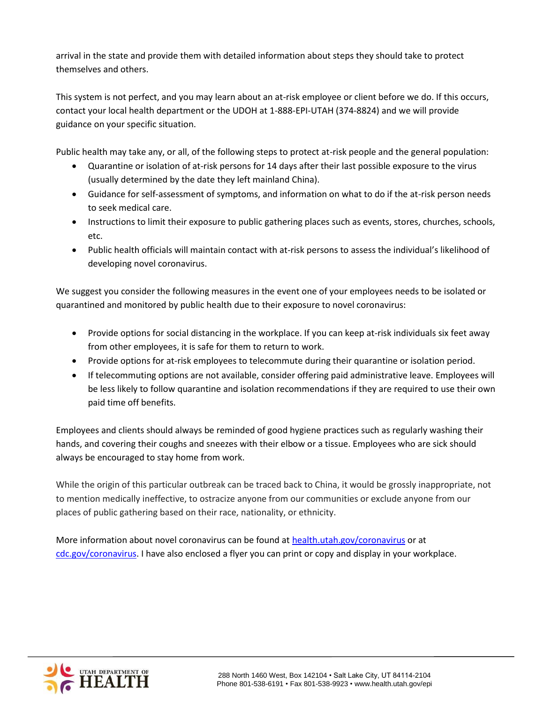arrival in the state and provide them with detailed information about steps they should take to protect themselves and others.

This system is not perfect, and you may learn about an at-risk employee or client before we do. If this occurs, contact your local health department or the UDOH at 1-888-EPI-UTAH (374-8824) and we will provide guidance on your specific situation.

Public health may take any, or all, of the following steps to protect at-risk people and the general population:

- Quarantine or isolation of at-risk persons for 14 days after their last possible exposure to the virus (usually determined by the date they left mainland China).
- Guidance for self-assessment of symptoms, and information on what to do if the at-risk person needs to seek medical care.
- Instructions to limit their exposure to public gathering places such as events, stores, churches, schools, etc.
- Public health officials will maintain contact with at-risk persons to assess the individual's likelihood of developing novel coronavirus.

We suggest you consider the following measures in the event one of your employees needs to be isolated or quarantined and monitored by public health due to their exposure to novel coronavirus:

- Provide options for social distancing in the workplace. If you can keep at-risk individuals six feet away from other employees, it is safe for them to return to work.
- Provide options for at-risk employees to telecommute during their quarantine or isolation period.
- If telecommuting options are not available, consider offering paid administrative leave. Employees will be less likely to follow quarantine and isolation recommendations if they are required to use their own paid time off benefits.

Employees and clients should always be reminded of good hygiene practices such as regularly washing their hands, and covering their coughs and sneezes with their elbow or a tissue. Employees who are sick should always be encouraged to stay home from work.

While the origin of this particular outbreak can be traced back to China, it would be grossly inappropriate, not to mention medically ineffective, to ostracize anyone from our communities or exclude anyone from our places of public gathering based on their race, nationality, or ethnicity.

More information about novel coronavirus can be found at [health.utah.gov/coronavirus](http://health.utah.gov/coronavirus) or at [cdc.gov/coronavirus.](https://www.cdc.gov/coronavirus/) I have also enclosed a flyer you can print or copy and display in your workplace.